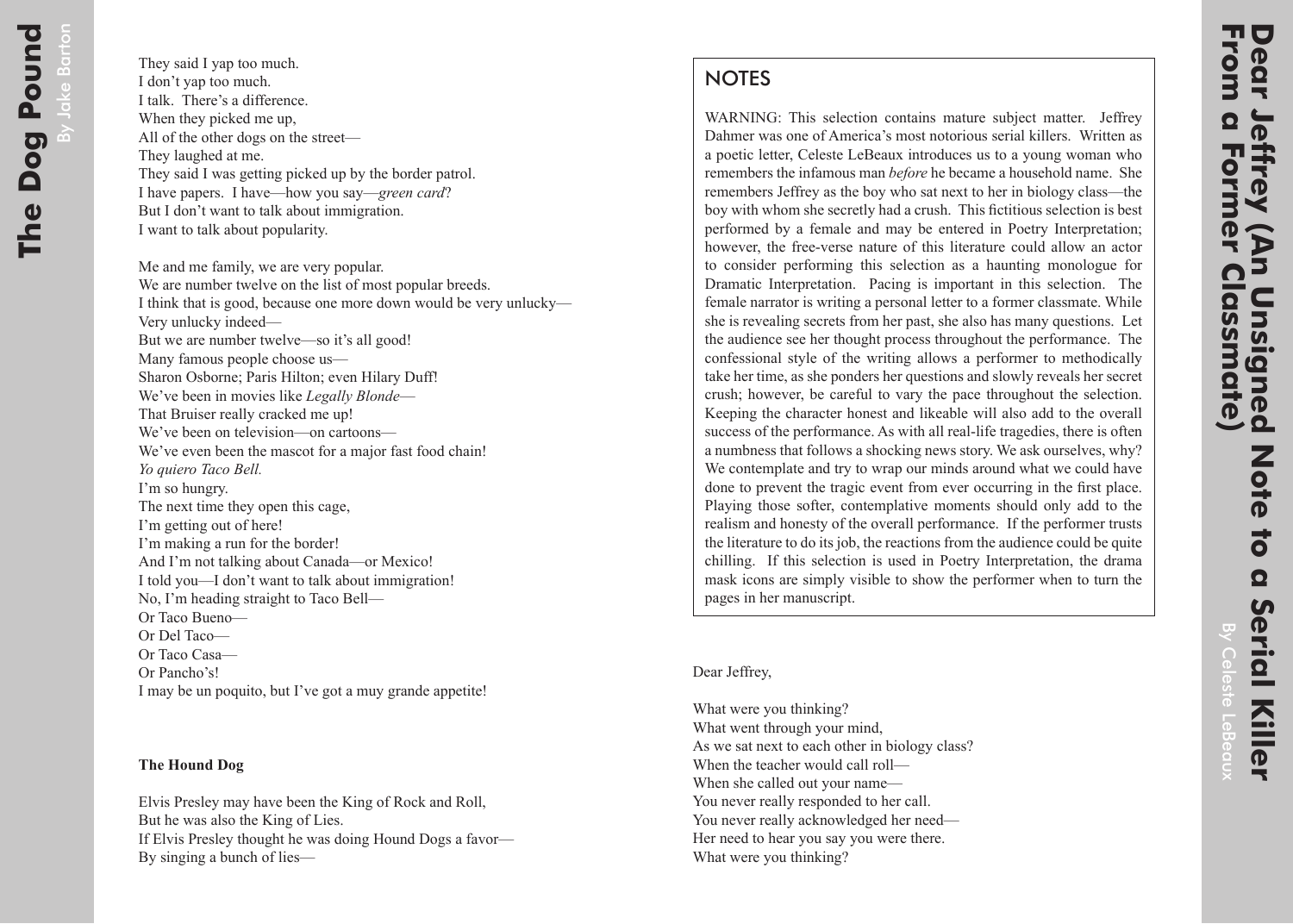## **NOTES**

WARNING: This selection contains mature subject matter. Jeffrey Dahmer was one of America's most notorious serial killers. Written as a poetic letter, Celeste LeBeaux introduces us to a young woman who remembers the infamous man *before* he became a household name. She remembers Jeffrey as the boy who sat next to her in biology class—the boy with whom she secretly had a crush. This fictitious selection is best performed by a female and may be entered in Poetry Interpretation; however, the free-verse nature of this literature could allow an actor to consider performing this selection as a haunting monologue for Dramatic Interpretation. Pacing is important in this selection. The female narrator is writing a personal letter to a former classmate. While she is revealing secrets from her past, she also has many questions. Let the audience see her thought process throughout the performance. The confessional style of the writing allows a performer to methodically take her time, as she ponders her questions and slowly reveals her secret crush; however, be careful to vary the pace throughout the selection. Keeping the character honest and likeable will also add to the overall success of the performance. As with all real-life tragedies, there is often a numbness that follows a shocking news story. We ask ourselves, why? We contemplate and try to wrap our minds around what we could have done to prevent the tragic event from ever occurring in the first place. Playing those softer, contemplative moments should only add to the realism and honesty of the overall performance. If the performer trusts the literature to do its job, the reactions from the audience could be quite chilling. If this selection is used in Poetry Interpretation, the drama mask icons are simply visible to show the performer when to turn the pages in her manuscript.

Dear Jeffrey,

What were you thinking? What went through your mind, As we sat next to each other in biology class? When the teacher would call roll— When she called out your name— You never really responded to her call. You never really acknowledged her need— Her need to hear you say you were there. What were you thinking?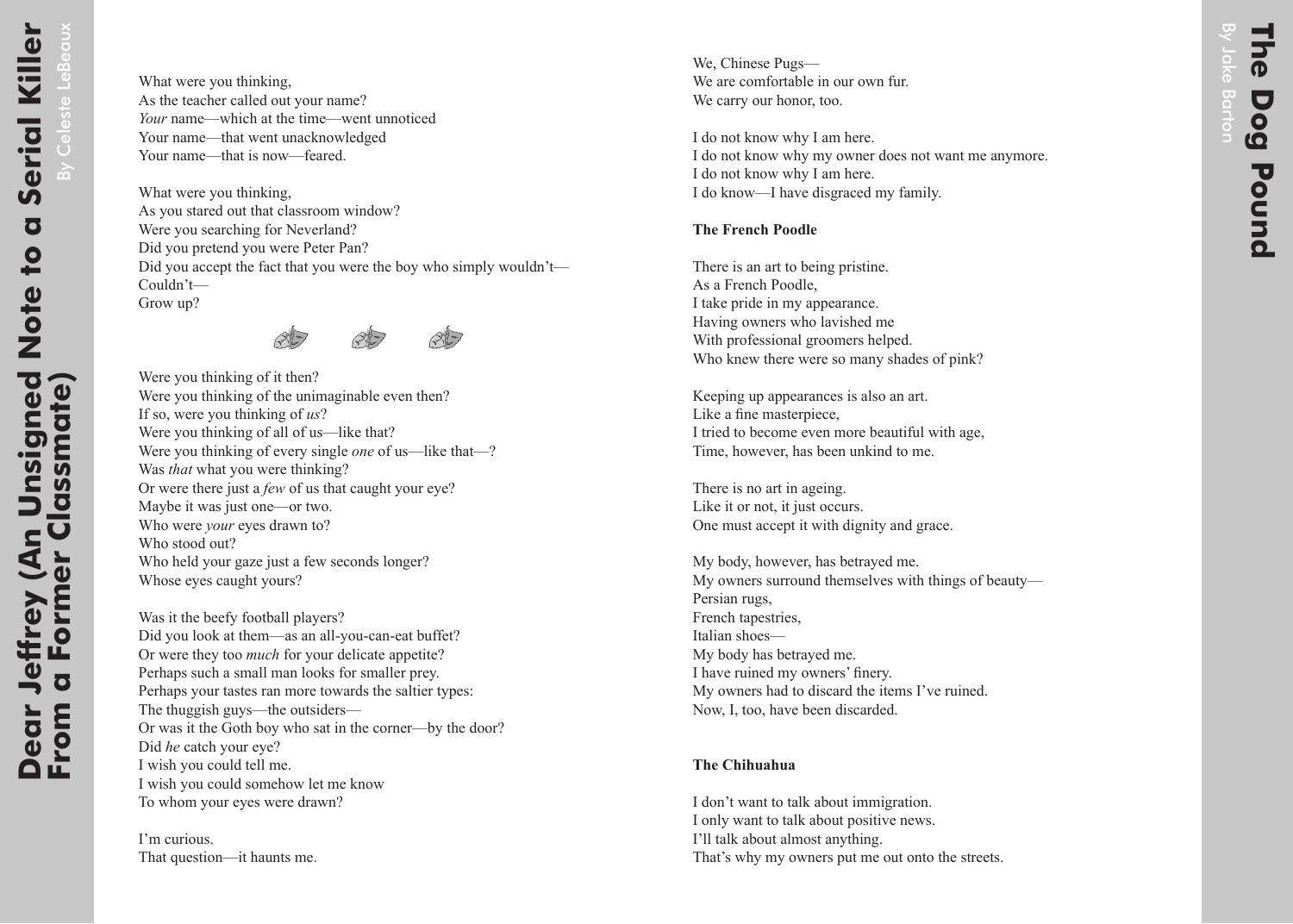What were you thinking, As you stared out that classroom window? Were you searching for Neverland? Did you pretend you were Peter Pan? Did you accept the fact that you were the boy who simply wouldn't— Couldn't— Grow up?



Were you thinking of it then? Were you thinking of the unimaginable even then? If so, were you thinking of *us*? Were you thinking of all of us—like that? Were you thinking of every single *one* of us—like that—? Was *that* what you were thinking? Or were there just a *few* of us that caught your eye? Maybe it was just one—or two. Who were *your* eyes drawn to? Who stood out? Who held your gaze just a few seconds longer? Whose eyes caught yours?

Was it the beefy football players? Did you look at them—as an all-you-can-eat buffet? Or were they too *much* for your delicate appetite? Perhaps such a small man looks for smaller prey. Perhaps your tastes ran more towards the saltier types: The thuggish guys—the outsiders— Or was it the Goth boy who sat in the corner—by the door? Did *he* catch your eye? I wish you could tell me. I wish you could somehow let me know To whom your eyes were drawn?

I'm curious. That question—it haunts me.